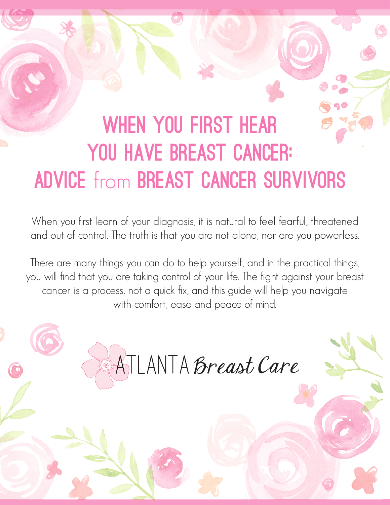# WHEN YOU FIRST HEAR YOU HAVE BREAST CANCER: ADVICE from BREAST CANCER SURVIVORS

When you first learn of your diagnosis, it is natural to feel fearful, threatened and out of control. The truth is that you are not alone, nor are you powerless.

There are many things you can do to help yourself, and in the practical things, you will find that you are taking control of your life. The fight against your breast cancer is a process, not a quick fix, and this guide will help you navigate with comfort, ease and peace of mind.

ATLANTA Breast Care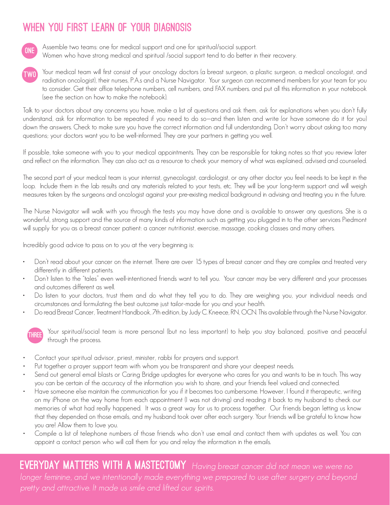## WHEN YOU FIRST LEARN OF YOUR DIAGNOSIS



Assemble two teams: one for medical support and one for spiritual/social support. Women who have strong medical and spiritual /social support tend to do better in their recovery.

Your medical team will first consist of your oncology doctors (a breast surgeon, a plastic surgeon, a medical oncologist, and radiation oncologist), their nurses, P.A.s and a Nurse Navigator. Your surgeon can recommend members for your team for you to consider. Get their office telephone numbers, cell numbers, and FAX numbers. and put all this information in your notebook (see the section on how to make the notebook). TWO

Talk to your doctors about any concerns you have, make a list of questions and ask them, ask for explanations when you don't fully understand, ask for information to be repeated if you need to do so—and then listen and write (or have someone do it for you) down the answers. Check to make sure you have the correct information and full understanding. Don't worry about asking too many questions; your doctors want you to be well-informed. They are your partners in getting you well.

If possible, take someone with you to your medical appointments. They can be responsible for taking notes so that you review later and reflect on the information. They can also act as a resource to check your memory of what was explained, advised and counseled.

The second part of your medical team is your internist, gynecologist, cardiologist, or any other doctor you feel needs to be kept in the loop. Include them in the lab results and any materials related to your tests, etc. They will be your long-term support and will weigh measures taken by the surgeons and oncologist against your pre-existing medical background in advising and treating you in the future.

The Nurse Navigator will walk with you through the tests you may have done and is available to answer any questions. She is a wonderful, strong support and the source of many kinds of information such as getting you plugged in to the other services Piedmont will supply for you as a breast cancer patient: a cancer nutritionist, exercise, massage, cooking classes and many others.

Incredibly good advice to pass on to you at the very beginning is:

- Don't read about your cancer on the internet. There are over 15 types of breast cancer and they are complex and treated very differently in different patients.
- Don't listen to the "tales" even well-intentioned friends want to tell you. Your cancer may be very different and your processes and outcomes different as well.
- Do listen to your doctors, trust them and do what they tell you to do. They are weighing you, your individual needs and circumstances and formulating the best outcome just tailor-made for you and your health.
- Do read Breast Cancer, Treatment Handbook, 7th edition, by Judy C. Kneece, RN, OCN. This available through the Nurse Navigator.



Your spiritual/social team is more personal (but no less important) to help you stay balanced, positive and peaceful THREE <sup>tour spiritual/social</sup><br>through the process.

- Contact your spiritual advisor, priest, minister, rabbi for prayers and support.
- Put together a prayer support team with whom you be transparent and share your deepest needs.
- Send out general email blasts or Caring Bridge updagtes for everyone who cares for you and wants to be in touch. This way you can be certain of the accuracy of the information you wish to share, and your friends feel valued and connected.
- • Have someone else maintain the communication for you if it becomes too cumbersome. However, I found it therapeutic, writing on my iPhone on the way home from each appointment (I was not driving) and reading it back to my husband to check our memories of what had really happened. It was a great way for us to process together. Our friends began letting us know that they depended on those emails, and my husband took over after each surgery. Your friends will be grateful to know how you are! Allow them to love you.
- Compile a list of telephone numbers of those friends who don't use email and contact them with updates as well. You can appoint a contact person who will call them for you and relay the information in the emails.

**EVERYDAY MATTERS WITH A MASTECTOMY** Having breast cancer did not mean we were no pretty and attractive. It made us smile and lifted our spirits.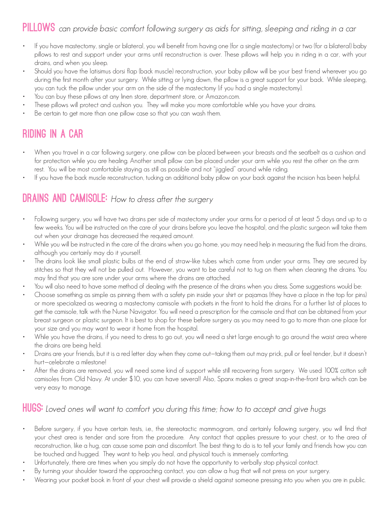#### PILLOWS can provide basic comfort following surgery as aids for sitting, sleeping and riding in a car

- If you have mastectomy, single or bilateral, you will benefit from having one (for a single mastectomy) or two (for a bilateral) baby pillows to rest and support under your arms until reconstruction is over. These pillows will help you in riding in a car, with your drains, and when you sleep.
- Should you have the latisimus dorsi flap (back muscle) reconstruction, your baby pillow will be your best friend wherever you go during the first month after your surgery. While sitting or lying down, the pillow is a great support for your back. While sleeping, you can tuck the pillow under your arm on the side of the mastectomy (if you had a single mastectomy).
- You can buy these pillows at any linen store, department store, or Amazon.com.
- These pillows will protect and cushion you. They will make you more comfortable while you have your drains.
- Be certain to get more than one pillow case so that you can wash them.

## Riding in a Car

- When you travel in a car following surgery, one pillow can be placed between your breasts and the seatbelt as a cushion and for protection while you are healing. Another small pillow can be placed under your arm while you rest the other on the arm rest. You will be most comfortable staying as still as possible and not "jiggled" around while riding.
- If you have the back muscle reconstruction, tucking an additional baby pillow on your back against the incision has been helpful.

#### **DRAINS AND CAMISOLE:** How to dress after the surgery

- Following surgery, you will have two drains per side of mastectomy under your arms for a period of at least 5 days and up to a few weeks. You will be instructed on the care of your drains before you leave the hospital, and the plastic surgeon will take them out when your drainage has decreased the required amount.
- While you will be instructed in the care of the drains when you go home, you may need help in measuring the fluid from the drains, although you certainly may do it yourself.
- The drains look like small plastic bulbs at the end of straw-like tubes which come from under your arms. They are secured by stitches so that they will not be pulled out. However, you want to be careful not to tug on them when cleaning the drains. You may find that you are sore under your arms where the drains are attached.
- You will also need to have some method of dealing with the presence of the drains when you dress. Some suggestions would be:
- Choose something as simple as pinning them with a safety pin inside your shirt or pajamas (they have a place in the top for pins) or more specialized as wearing a mastectomy camisole with pockets in the front to hold the drains. For a further list of places to get the camisole, talk with the Nurse Navigator. You will need a prescription for the camisole and that can be obtained from your breast surgeon or plastic surgeon. It is best to shop for these before surgery as you may need to go to more than one place for your size and you may want to wear it home from the hospital.
- While you have the drains, if you need to dress to go out, you will need a shirt large enough to go around the waist area where the drains are being held.
- Drains are your friends, but it is a red letter day when they come out—taking them out may prick, pull or feel tender, but it doesn't hurt—celebrate a milestone!
- After the drains are removed, you will need some kind of support while still recovering from surgery. We used 100% cotton soft camisoles from Old Navy. At under \$10, you can have several! Also, Spanx makes a great snap-in-the-front bra which can be very easy to manage.

#### **HUGS:** Loved ones will want to comfort you during this time; how to to accept and give hugs

- Before surgery, if you have certain tests, i.e., the stereotactic mammogram, and certainly following surgery, you will find that your chest area is tender and sore from the procedure. Any contact that applies pressure to your chest, or to the area of reconstruction, like a hug, can cause some pain and discomfort. The best thing to do is to tell your family and friends how you can be touched and hugged. They want to help you heal, and physical touch is immensely comforting.
- Unfortunately, there are times when you simply do not have the opportunity to verbally stop physical contact.
- By turning your shoulder toward the approaching contact, you can allow a hug that will not press on your surgery.
- Wearing your pocket book in front of your chest will provide a shield against someone pressing into you when you are in public.